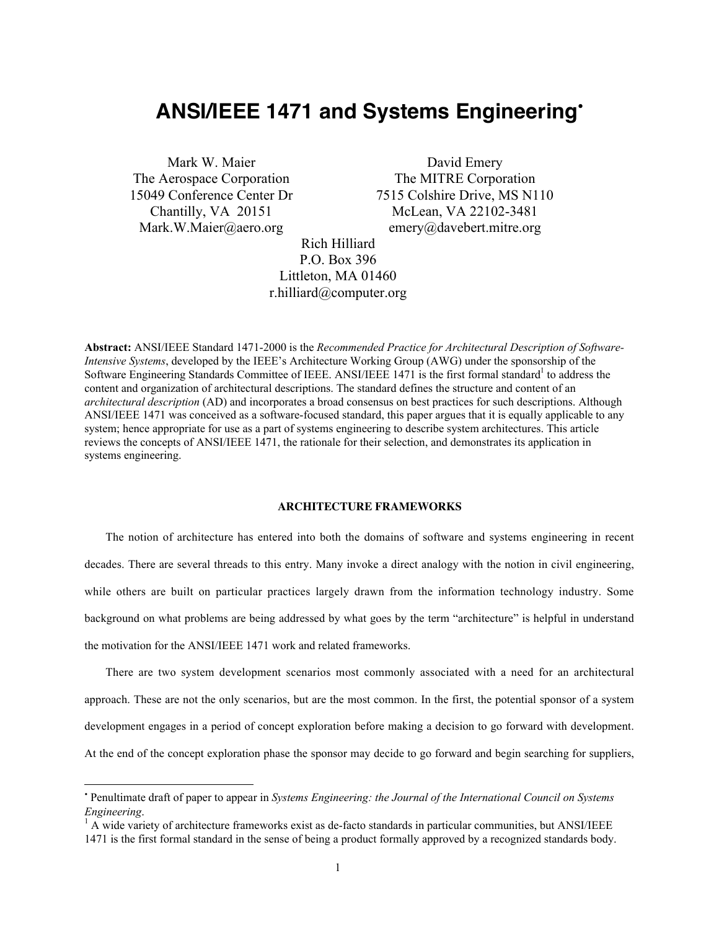# **ANSI/IEEE 1471 and Systems Engineering**•

The Aerospace Corporation The MITRE Corporation

 $\overline{a}$ 

Mark W. Maier David Emery 15049 Conference Center Dr 7515 Colshire Drive, MS N110 Chantilly, VA 20151 McLean, VA 22102-3481 Mark.W.Maier@aero.org emery@davebert.mitre.org

> Rich Hilliard P.O. Box 396 Littleton, MA 01460 r.hilliard@computer.org

**Abstract:** ANSI/IEEE Standard 1471-2000 is the *Recommended Practice for Architectural Description of Software-Intensive Systems*, developed by the IEEE's Architecture Working Group (AWG) under the sponsorship of the Software Engineering Standards Committee of IEEE. ANSI/IEEE 1471 is the first formal standard<sup>1</sup> to address the content and organization of architectural descriptions. The standard defines the structure and content of an *architectural description* (AD) and incorporates a broad consensus on best practices for such descriptions. Although ANSI/IEEE 1471 was conceived as a software-focused standard, this paper argues that it is equally applicable to any system; hence appropriate for use as a part of systems engineering to describe system architectures. This article reviews the concepts of ANSI/IEEE 1471, the rationale for their selection, and demonstrates its application in systems engineering.

#### **ARCHITECTURE FRAMEWORKS**

The notion of architecture has entered into both the domains of software and systems engineering in recent decades. There are several threads to this entry. Many invoke a direct analogy with the notion in civil engineering, while others are built on particular practices largely drawn from the information technology industry. Some background on what problems are being addressed by what goes by the term "architecture" is helpful in understand the motivation for the ANSI/IEEE 1471 work and related frameworks.

There are two system development scenarios most commonly associated with a need for an architectural approach. These are not the only scenarios, but are the most common. In the first, the potential sponsor of a system development engages in a period of concept exploration before making a decision to go forward with development. At the end of the concept exploration phase the sponsor may decide to go forward and begin searching for suppliers,

Penultimate draft of paper to appear in *Systems Engineering: the Journal of the International Council on Systems Engineering*. <sup>1</sup>

 $A$  wide variety of architecture frameworks exist as de-facto standards in particular communities, but ANSI/IEEE

<sup>1471</sup> is the first formal standard in the sense of being a product formally approved by a recognized standards body.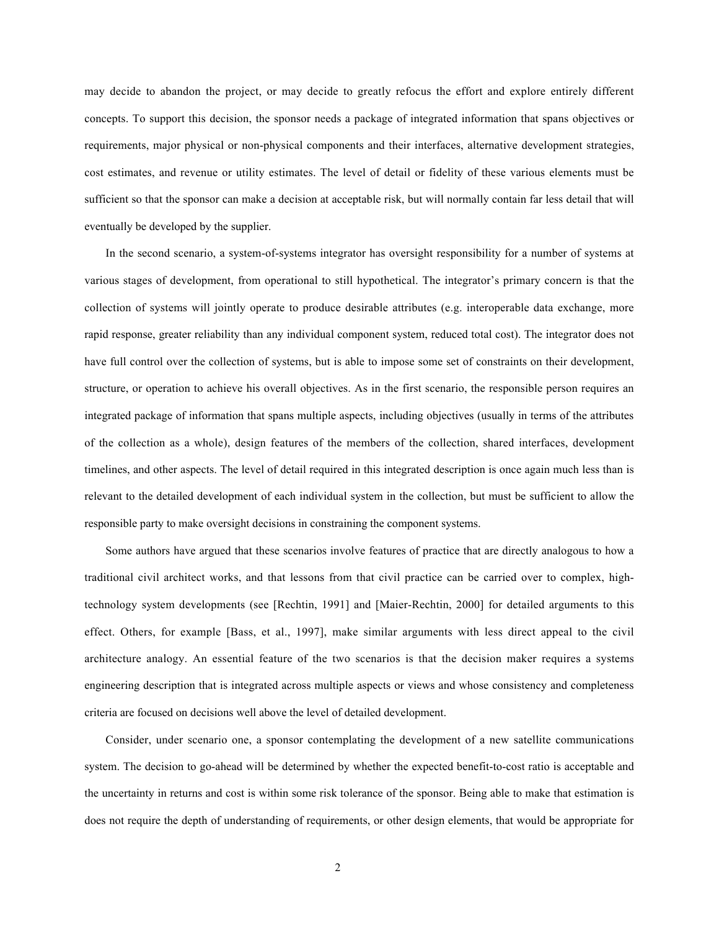may decide to abandon the project, or may decide to greatly refocus the effort and explore entirely different concepts. To support this decision, the sponsor needs a package of integrated information that spans objectives or requirements, major physical or non-physical components and their interfaces, alternative development strategies, cost estimates, and revenue or utility estimates. The level of detail or fidelity of these various elements must be sufficient so that the sponsor can make a decision at acceptable risk, but will normally contain far less detail that will eventually be developed by the supplier.

In the second scenario, a system-of-systems integrator has oversight responsibility for a number of systems at various stages of development, from operational to still hypothetical. The integrator's primary concern is that the collection of systems will jointly operate to produce desirable attributes (e.g. interoperable data exchange, more rapid response, greater reliability than any individual component system, reduced total cost). The integrator does not have full control over the collection of systems, but is able to impose some set of constraints on their development, structure, or operation to achieve his overall objectives. As in the first scenario, the responsible person requires an integrated package of information that spans multiple aspects, including objectives (usually in terms of the attributes of the collection as a whole), design features of the members of the collection, shared interfaces, development timelines, and other aspects. The level of detail required in this integrated description is once again much less than is relevant to the detailed development of each individual system in the collection, but must be sufficient to allow the responsible party to make oversight decisions in constraining the component systems.

Some authors have argued that these scenarios involve features of practice that are directly analogous to how a traditional civil architect works, and that lessons from that civil practice can be carried over to complex, hightechnology system developments (see [Rechtin, 1991] and [Maier-Rechtin, 2000] for detailed arguments to this effect. Others, for example [Bass, et al., 1997], make similar arguments with less direct appeal to the civil architecture analogy. An essential feature of the two scenarios is that the decision maker requires a systems engineering description that is integrated across multiple aspects or views and whose consistency and completeness criteria are focused on decisions well above the level of detailed development.

Consider, under scenario one, a sponsor contemplating the development of a new satellite communications system. The decision to go-ahead will be determined by whether the expected benefit-to-cost ratio is acceptable and the uncertainty in returns and cost is within some risk tolerance of the sponsor. Being able to make that estimation is does not require the depth of understanding of requirements, or other design elements, that would be appropriate for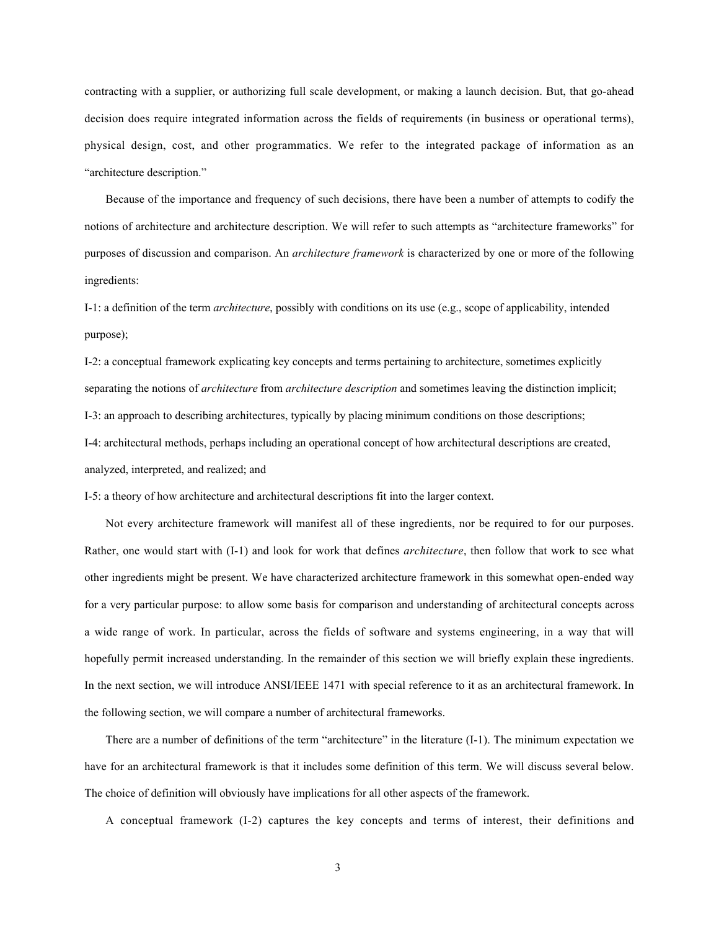contracting with a supplier, or authorizing full scale development, or making a launch decision. But, that go-ahead decision does require integrated information across the fields of requirements (in business or operational terms), physical design, cost, and other programmatics. We refer to the integrated package of information as an "architecture description."

Because of the importance and frequency of such decisions, there have been a number of attempts to codify the notions of architecture and architecture description. We will refer to such attempts as "architecture frameworks" for purposes of discussion and comparison. An *architecture framework* is characterized by one or more of the following ingredients:

I-1: a definition of the term *architecture*, possibly with conditions on its use (e.g., scope of applicability, intended purpose);

I-2: a conceptual framework explicating key concepts and terms pertaining to architecture, sometimes explicitly separating the notions of *architecture* from *architecture description* and sometimes leaving the distinction implicit; I-3: an approach to describing architectures, typically by placing minimum conditions on those descriptions; I-4: architectural methods, perhaps including an operational concept of how architectural descriptions are created, analyzed, interpreted, and realized; and

I-5: a theory of how architecture and architectural descriptions fit into the larger context.

Not every architecture framework will manifest all of these ingredients, nor be required to for our purposes. Rather, one would start with (I-1) and look for work that defines *architecture*, then follow that work to see what other ingredients might be present. We have characterized architecture framework in this somewhat open-ended way for a very particular purpose: to allow some basis for comparison and understanding of architectural concepts across a wide range of work. In particular, across the fields of software and systems engineering, in a way that will hopefully permit increased understanding. In the remainder of this section we will briefly explain these ingredients. In the next section, we will introduce ANSI/IEEE 1471 with special reference to it as an architectural framework. In the following section, we will compare a number of architectural frameworks.

There are a number of definitions of the term "architecture" in the literature (I-1). The minimum expectation we have for an architectural framework is that it includes some definition of this term. We will discuss several below. The choice of definition will obviously have implications for all other aspects of the framework.

A conceptual framework (I-2) captures the key concepts and terms of interest, their definitions and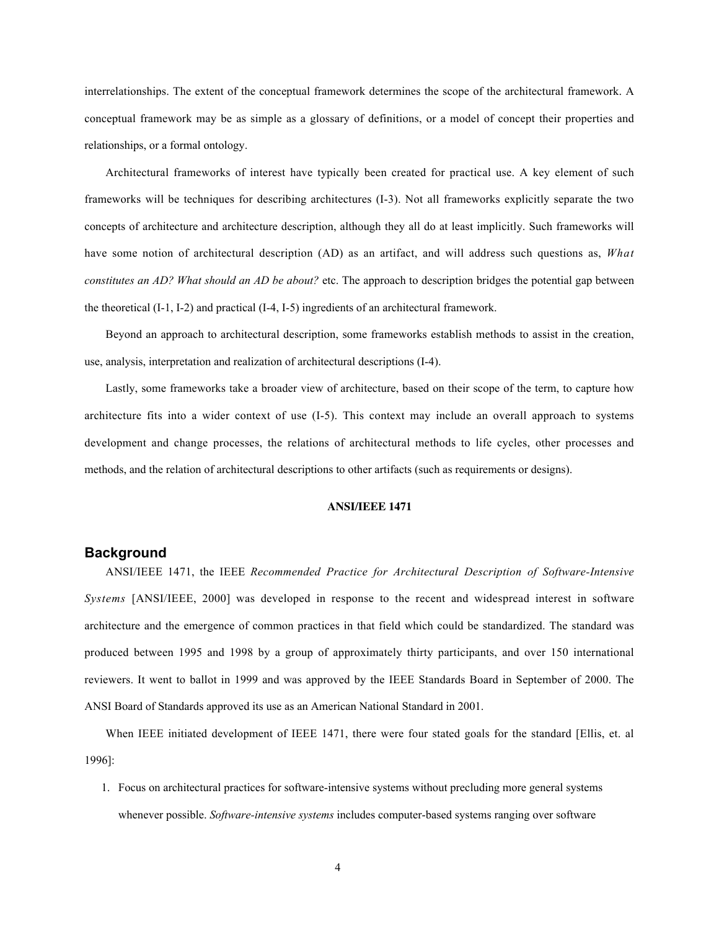interrelationships. The extent of the conceptual framework determines the scope of the architectural framework. A conceptual framework may be as simple as a glossary of definitions, or a model of concept their properties and relationships, or a formal ontology.

Architectural frameworks of interest have typically been created for practical use. A key element of such frameworks will be techniques for describing architectures (I-3). Not all frameworks explicitly separate the two concepts of architecture and architecture description, although they all do at least implicitly. Such frameworks will have some notion of architectural description (AD) as an artifact, and will address such questions as, *What constitutes an AD? What should an AD be about?* etc. The approach to description bridges the potential gap between the theoretical (I-1, I-2) and practical (I-4, I-5) ingredients of an architectural framework.

Beyond an approach to architectural description, some frameworks establish methods to assist in the creation, use, analysis, interpretation and realization of architectural descriptions (I-4).

Lastly, some frameworks take a broader view of architecture, based on their scope of the term, to capture how architecture fits into a wider context of use (I-5). This context may include an overall approach to systems development and change processes, the relations of architectural methods to life cycles, other processes and methods, and the relation of architectural descriptions to other artifacts (such as requirements or designs).

## **ANSI/IEEE 1471**

## **Background**

ANSI/IEEE 1471, the IEEE *Recommended Practice for Architectural Description of Software-Intensive Systems* [ANSI/IEEE, 2000] was developed in response to the recent and widespread interest in software architecture and the emergence of common practices in that field which could be standardized. The standard was produced between 1995 and 1998 by a group of approximately thirty participants, and over 150 international reviewers. It went to ballot in 1999 and was approved by the IEEE Standards Board in September of 2000. The ANSI Board of Standards approved its use as an American National Standard in 2001.

When IEEE initiated development of IEEE 1471, there were four stated goals for the standard [Ellis, et. al 1996]:

1. Focus on architectural practices for software-intensive systems without precluding more general systems whenever possible. *Software-intensive systems* includes computer-based systems ranging over software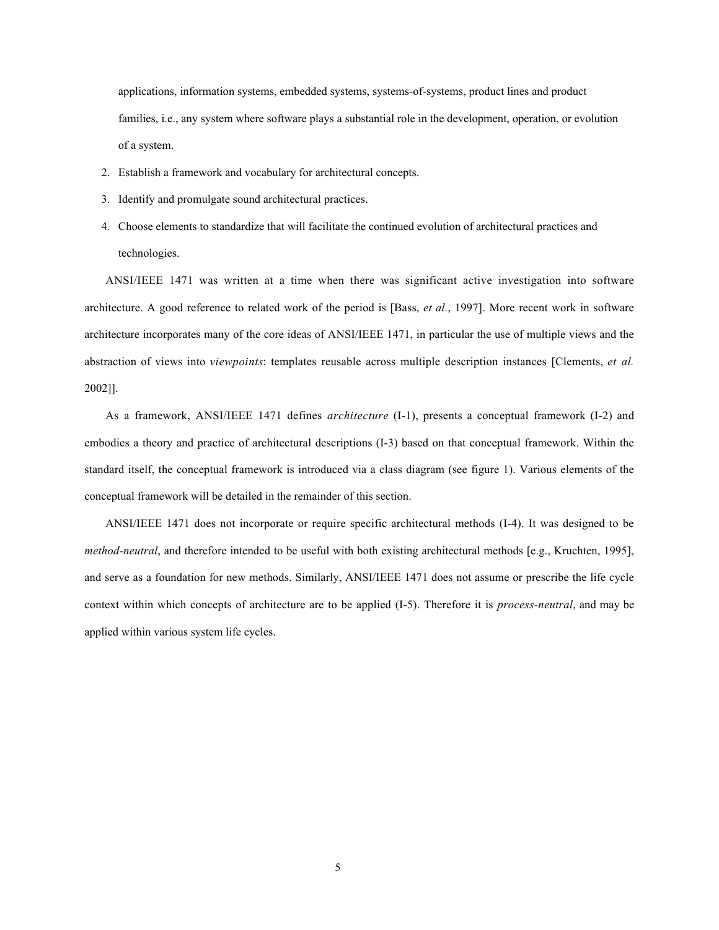applications, information systems, embedded systems, systems-of-systems, product lines and product families, i.e., any system where software plays a substantial role in the development, operation, or evolution of a system.

- 2. Establish a framework and vocabulary for architectural concepts.
- 3. Identify and promulgate sound architectural practices.
- 4. Choose elements to standardize that will facilitate the continued evolution of architectural practices and technologies.

ANSI/IEEE 1471 was written at a time when there was significant active investigation into software architecture. A good reference to related work of the period is [Bass, *et al.*, 1997]. More recent work in software architecture incorporates many of the core ideas of ANSI/IEEE 1471, in particular the use of multiple views and the abstraction of views into *viewpoints*: templates reusable across multiple description instances [Clements, *et al.* 2002]].

As a framework, ANSI/IEEE 1471 defines *architecture* (I-1), presents a conceptual framework (I-2) and embodies a theory and practice of architectural descriptions (I-3) based on that conceptual framework. Within the standard itself, the conceptual framework is introduced via a class diagram (see figure 1). Various elements of the conceptual framework will be detailed in the remainder of this section.

ANSI/IEEE 1471 does not incorporate or require specific architectural methods (I-4). It was designed to be *method-neutral*, and therefore intended to be useful with both existing architectural methods [e.g., Kruchten, 1995], and serve as a foundation for new methods. Similarly, ANSI/IEEE 1471 does not assume or prescribe the life cycle context within which concepts of architecture are to be applied (I-5). Therefore it is *process-neutral*, and may be applied within various system life cycles.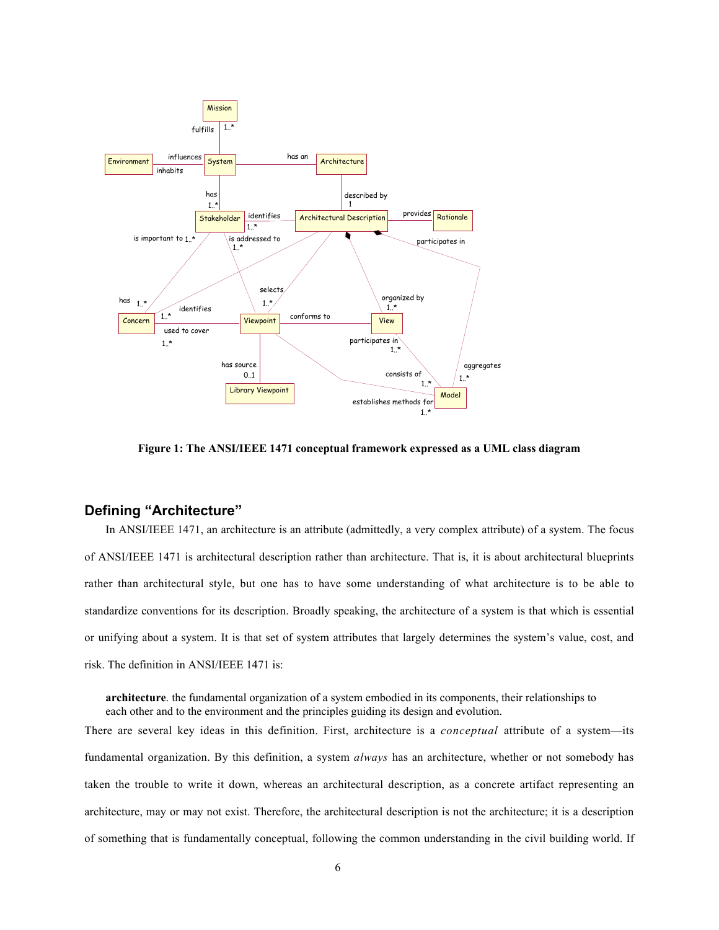

**Figure 1: The ANSI/IEEE 1471 conceptual framework expressed as a UML class diagram**

## **Defining "Architecture"**

In ANSI/IEEE 1471, an architecture is an attribute (admittedly, a very complex attribute) of a system. The focus of ANSI/IEEE 1471 is architectural description rather than architecture. That is, it is about architectural blueprints rather than architectural style, but one has to have some understanding of what architecture is to be able to standardize conventions for its description. Broadly speaking, the architecture of a system is that which is essential or unifying about a system. It is that set of system attributes that largely determines the system's value, cost, and risk. The definition in ANSI/IEEE 1471 is:

**architecture**. the fundamental organization of a system embodied in its components, their relationships to each other and to the environment and the principles guiding its design and evolution.

There are several key ideas in this definition. First, architecture is a *conceptual* attribute of a system—its fundamental organization. By this definition, a system *always* has an architecture, whether or not somebody has taken the trouble to write it down, whereas an architectural description, as a concrete artifact representing an architecture, may or may not exist. Therefore, the architectural description is not the architecture; it is a description of something that is fundamentally conceptual, following the common understanding in the civil building world. If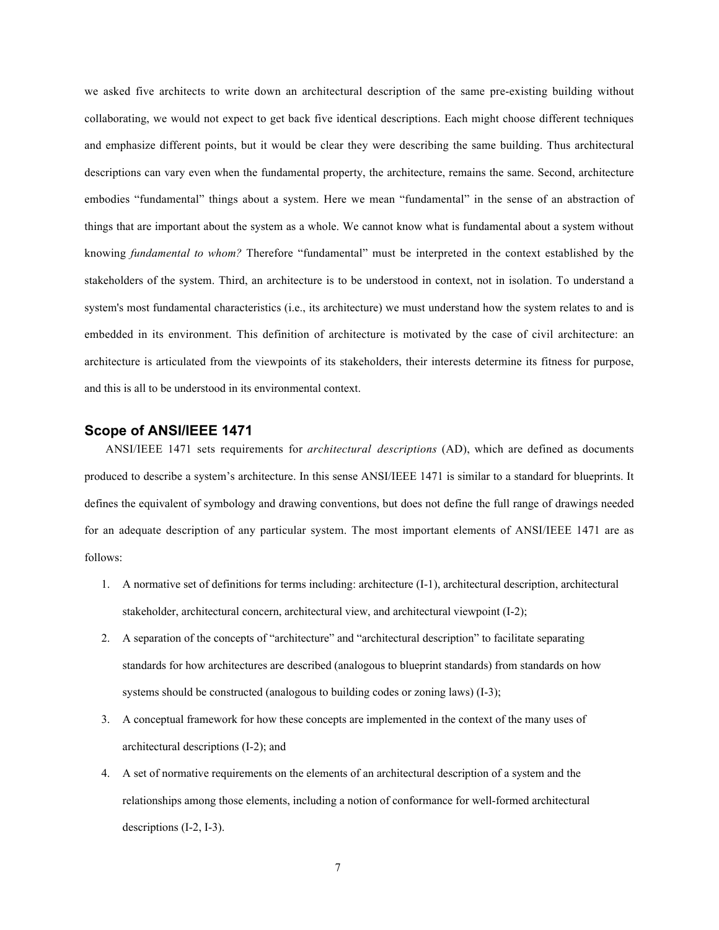we asked five architects to write down an architectural description of the same pre-existing building without collaborating, we would not expect to get back five identical descriptions. Each might choose different techniques and emphasize different points, but it would be clear they were describing the same building. Thus architectural descriptions can vary even when the fundamental property, the architecture, remains the same. Second, architecture embodies "fundamental" things about a system. Here we mean "fundamental" in the sense of an abstraction of things that are important about the system as a whole. We cannot know what is fundamental about a system without knowing *fundamental to whom?* Therefore "fundamental" must be interpreted in the context established by the stakeholders of the system. Third, an architecture is to be understood in context, not in isolation. To understand a system's most fundamental characteristics (i.e., its architecture) we must understand how the system relates to and is embedded in its environment. This definition of architecture is motivated by the case of civil architecture: an architecture is articulated from the viewpoints of its stakeholders, their interests determine its fitness for purpose, and this is all to be understood in its environmental context.

## **Scope of ANSI/IEEE 1471**

ANSI/IEEE 1471 sets requirements for *architectural descriptions* (AD), which are defined as documents produced to describe a system's architecture. In this sense ANSI/IEEE 1471 is similar to a standard for blueprints. It defines the equivalent of symbology and drawing conventions, but does not define the full range of drawings needed for an adequate description of any particular system. The most important elements of ANSI/IEEE 1471 are as follows:

- 1. A normative set of definitions for terms including: architecture (I-1), architectural description, architectural stakeholder, architectural concern, architectural view, and architectural viewpoint (I-2);
- 2. A separation of the concepts of "architecture" and "architectural description" to facilitate separating standards for how architectures are described (analogous to blueprint standards) from standards on how systems should be constructed (analogous to building codes or zoning laws) (I-3);
- 3. A conceptual framework for how these concepts are implemented in the context of the many uses of architectural descriptions (I-2); and
- 4. A set of normative requirements on the elements of an architectural description of a system and the relationships among those elements, including a notion of conformance for well-formed architectural descriptions (I-2, I-3).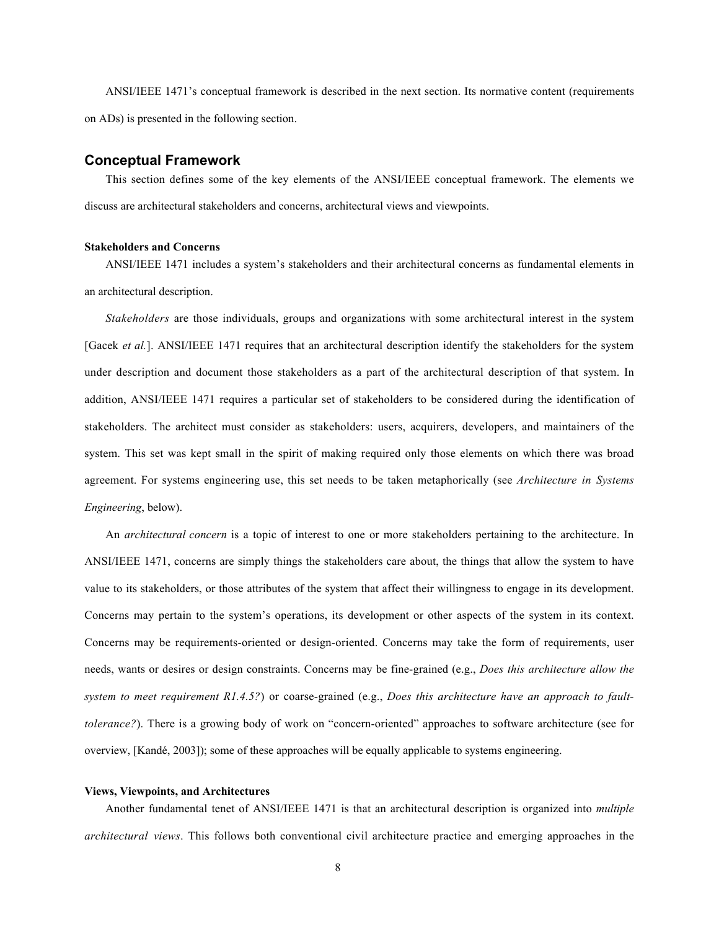ANSI/IEEE 1471's conceptual framework is described in the next section. Its normative content (requirements on ADs) is presented in the following section.

## **Conceptual Framework**

This section defines some of the key elements of the ANSI/IEEE conceptual framework. The elements we discuss are architectural stakeholders and concerns, architectural views and viewpoints.

#### **Stakeholders and Concerns**

ANSI/IEEE 1471 includes a system's stakeholders and their architectural concerns as fundamental elements in an architectural description.

*Stakeholders* are those individuals, groups and organizations with some architectural interest in the system [Gacek *et al.*]. ANSI/IEEE 1471 requires that an architectural description identify the stakeholders for the system under description and document those stakeholders as a part of the architectural description of that system. In addition, ANSI/IEEE 1471 requires a particular set of stakeholders to be considered during the identification of stakeholders. The architect must consider as stakeholders: users, acquirers, developers, and maintainers of the system. This set was kept small in the spirit of making required only those elements on which there was broad agreement. For systems engineering use, this set needs to be taken metaphorically (see *Architecture in Systems Engineering*, below).

An *architectural concern* is a topic of interest to one or more stakeholders pertaining to the architecture. In ANSI/IEEE 1471, concerns are simply things the stakeholders care about, the things that allow the system to have value to its stakeholders, or those attributes of the system that affect their willingness to engage in its development. Concerns may pertain to the system's operations, its development or other aspects of the system in its context. Concerns may be requirements-oriented or design-oriented. Concerns may take the form of requirements, user needs, wants or desires or design constraints. Concerns may be fine-grained (e.g., *Does this architecture allow the system to meet requirement R1.4.5?*) or coarse-grained (e.g., *Does this architecture have an approach to faulttolerance?*). There is a growing body of work on "concern-oriented" approaches to software architecture (see for overview, [Kandé, 2003]); some of these approaches will be equally applicable to systems engineering.

#### **Views, Viewpoints, and Architectures**

Another fundamental tenet of ANSI/IEEE 1471 is that an architectural description is organized into *multiple architectural views*. This follows both conventional civil architecture practice and emerging approaches in the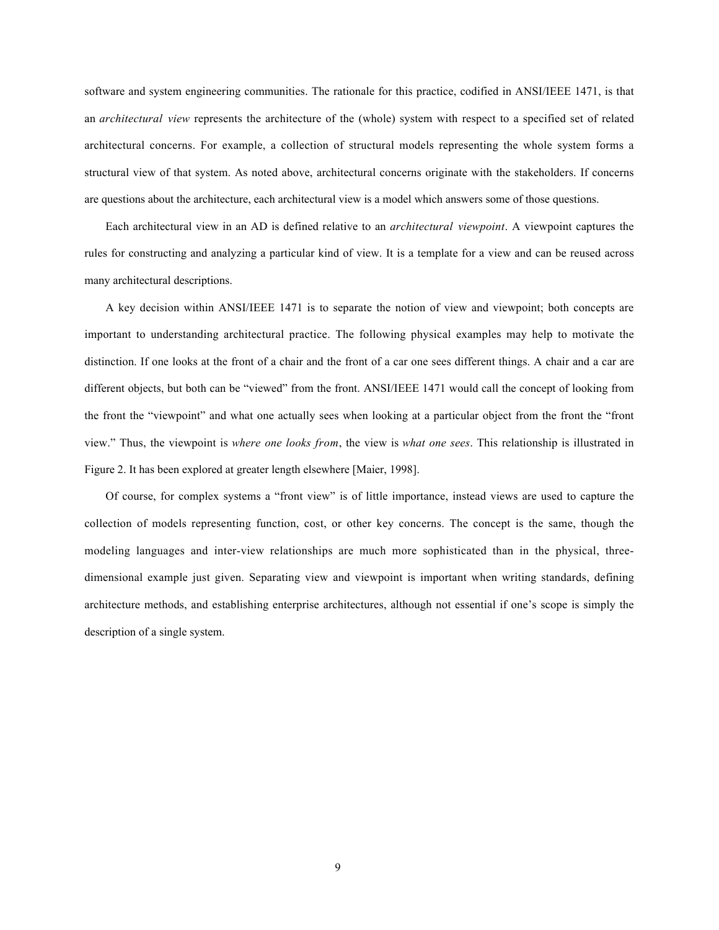software and system engineering communities. The rationale for this practice, codified in ANSI/IEEE 1471, is that an *architectural view* represents the architecture of the (whole) system with respect to a specified set of related architectural concerns. For example, a collection of structural models representing the whole system forms a structural view of that system. As noted above, architectural concerns originate with the stakeholders. If concerns are questions about the architecture, each architectural view is a model which answers some of those questions.

Each architectural view in an AD is defined relative to an *architectural viewpoint*. A viewpoint captures the rules for constructing and analyzing a particular kind of view. It is a template for a view and can be reused across many architectural descriptions.

A key decision within ANSI/IEEE 1471 is to separate the notion of view and viewpoint; both concepts are important to understanding architectural practice. The following physical examples may help to motivate the distinction. If one looks at the front of a chair and the front of a car one sees different things. A chair and a car are different objects, but both can be "viewed" from the front. ANSI/IEEE 1471 would call the concept of looking from the front the "viewpoint" and what one actually sees when looking at a particular object from the front the "front view." Thus, the viewpoint is *where one looks from*, the view is *what one sees*. This relationship is illustrated in Figure 2. It has been explored at greater length elsewhere [Maier, 1998].

Of course, for complex systems a "front view" is of little importance, instead views are used to capture the collection of models representing function, cost, or other key concerns. The concept is the same, though the modeling languages and inter-view relationships are much more sophisticated than in the physical, threedimensional example just given. Separating view and viewpoint is important when writing standards, defining architecture methods, and establishing enterprise architectures, although not essential if one's scope is simply the description of a single system.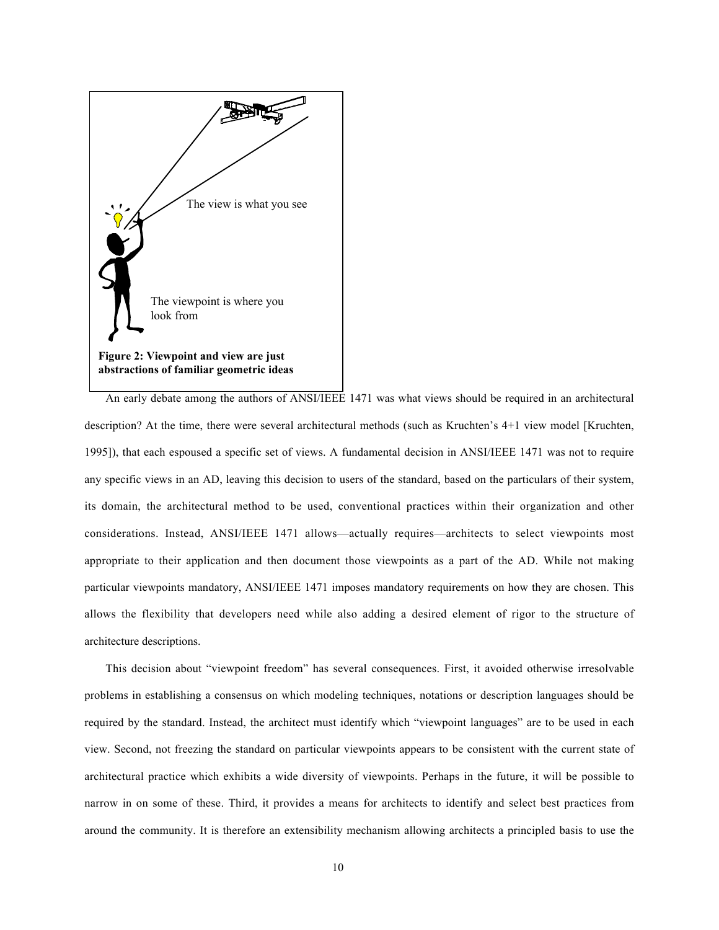

An early debate among the authors of ANSI/IEEE 1471 was what views should be required in an architectural description? At the time, there were several architectural methods (such as Kruchten's 4+1 view model [Kruchten, 1995]), that each espoused a specific set of views. A fundamental decision in ANSI/IEEE 1471 was not to require any specific views in an AD, leaving this decision to users of the standard, based on the particulars of their system, its domain, the architectural method to be used, conventional practices within their organization and other considerations. Instead, ANSI/IEEE 1471 allows—actually requires—architects to select viewpoints most appropriate to their application and then document those viewpoints as a part of the AD. While not making particular viewpoints mandatory, ANSI/IEEE 1471 imposes mandatory requirements on how they are chosen. This allows the flexibility that developers need while also adding a desired element of rigor to the structure of architecture descriptions.

This decision about "viewpoint freedom" has several consequences. First, it avoided otherwise irresolvable problems in establishing a consensus on which modeling techniques, notations or description languages should be required by the standard. Instead, the architect must identify which "viewpoint languages" are to be used in each view. Second, not freezing the standard on particular viewpoints appears to be consistent with the current state of architectural practice which exhibits a wide diversity of viewpoints. Perhaps in the future, it will be possible to narrow in on some of these. Third, it provides a means for architects to identify and select best practices from around the community. It is therefore an extensibility mechanism allowing architects a principled basis to use the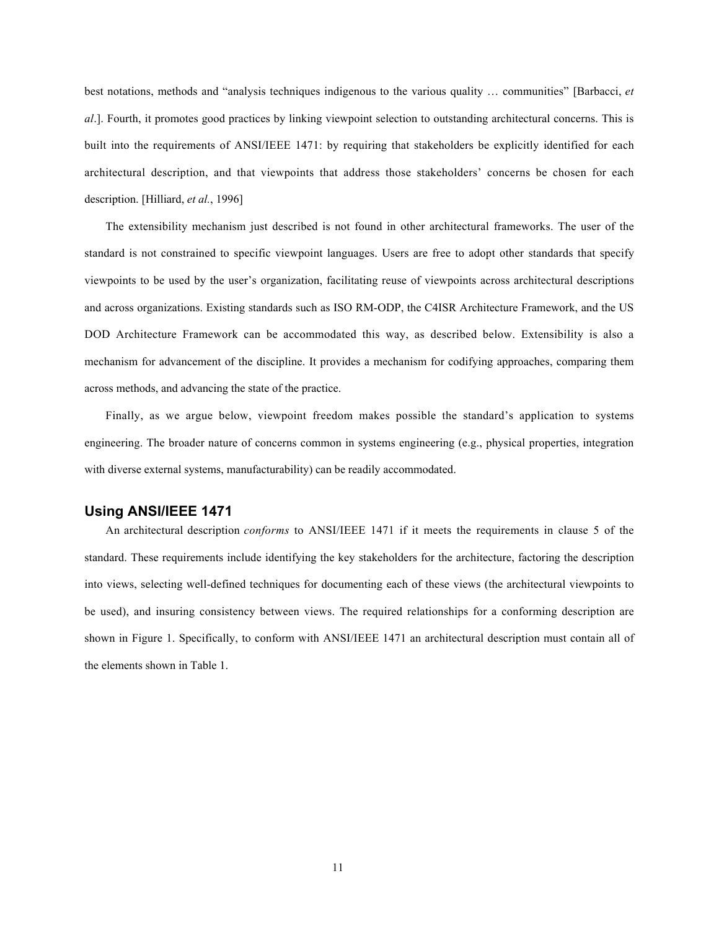best notations, methods and "analysis techniques indigenous to the various quality … communities" [Barbacci, *et al*.]. Fourth, it promotes good practices by linking viewpoint selection to outstanding architectural concerns. This is built into the requirements of ANSI/IEEE 1471: by requiring that stakeholders be explicitly identified for each architectural description, and that viewpoints that address those stakeholders' concerns be chosen for each description. [Hilliard, *et al.*, 1996]

The extensibility mechanism just described is not found in other architectural frameworks. The user of the standard is not constrained to specific viewpoint languages. Users are free to adopt other standards that specify viewpoints to be used by the user's organization, facilitating reuse of viewpoints across architectural descriptions and across organizations. Existing standards such as ISO RM-ODP, the C4ISR Architecture Framework, and the US DOD Architecture Framework can be accommodated this way, as described below. Extensibility is also a mechanism for advancement of the discipline. It provides a mechanism for codifying approaches, comparing them across methods, and advancing the state of the practice.

Finally, as we argue below, viewpoint freedom makes possible the standard's application to systems engineering. The broader nature of concerns common in systems engineering (e.g., physical properties, integration with diverse external systems, manufacturability) can be readily accommodated.

## **Using ANSI/IEEE 1471**

An architectural description *conforms* to ANSI/IEEE 1471 if it meets the requirements in clause 5 of the standard. These requirements include identifying the key stakeholders for the architecture, factoring the description into views, selecting well-defined techniques for documenting each of these views (the architectural viewpoints to be used), and insuring consistency between views. The required relationships for a conforming description are shown in Figure 1. Specifically, to conform with ANSI/IEEE 1471 an architectural description must contain all of the elements shown in Table 1.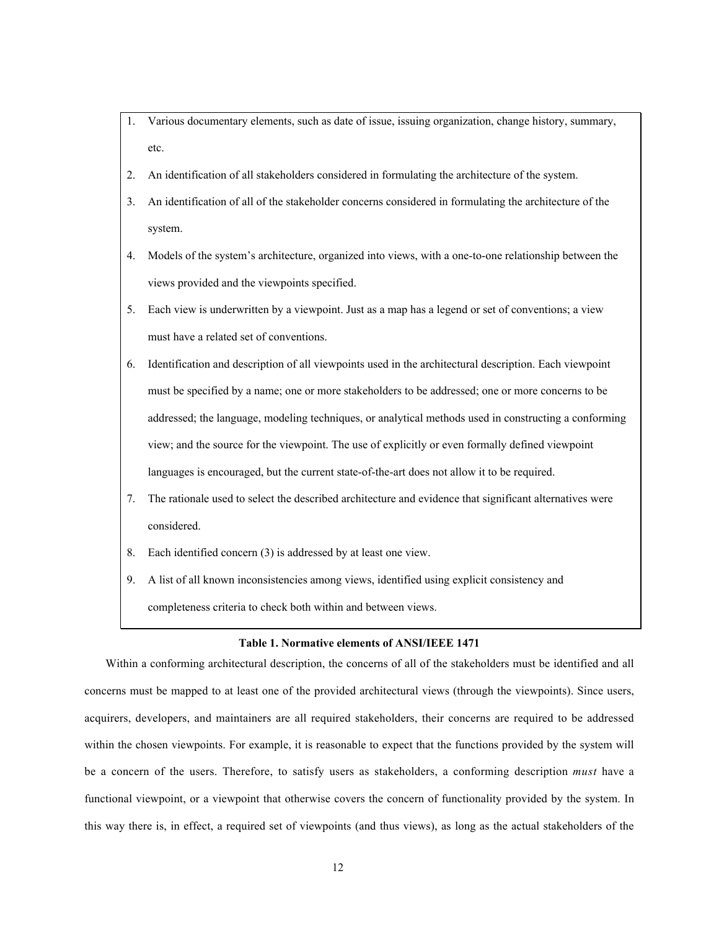- 1. Various documentary elements, such as date of issue, issuing organization, change history, summary, etc.
- 2. An identification of all stakeholders considered in formulating the architecture of the system.
- 3. An identification of all of the stakeholder concerns considered in formulating the architecture of the system.
- 4. Models of the system's architecture, organized into views, with a one-to-one relationship between the views provided and the viewpoints specified.
- 5. Each view is underwritten by a viewpoint. Just as a map has a legend or set of conventions; a view must have a related set of conventions.
- 6. Identification and description of all viewpoints used in the architectural description. Each viewpoint must be specified by a name; one or more stakeholders to be addressed; one or more concerns to be addressed; the language, modeling techniques, or analytical methods used in constructing a conforming view; and the source for the viewpoint. The use of explicitly or even formally defined viewpoint languages is encouraged, but the current state-of-the-art does not allow it to be required.
- 7. The rationale used to select the described architecture and evidence that significant alternatives were considered.
- 8. Each identified concern (3) is addressed by at least one view.
- 9. A list of all known inconsistencies among views, identified using explicit consistency and completeness criteria to check both within and between views.

## **Table 1. Normative elements of ANSI/IEEE 1471**

Within a conforming architectural description, the concerns of all of the stakeholders must be identified and all concerns must be mapped to at least one of the provided architectural views (through the viewpoints). Since users, acquirers, developers, and maintainers are all required stakeholders, their concerns are required to be addressed within the chosen viewpoints. For example, it is reasonable to expect that the functions provided by the system will be a concern of the users. Therefore, to satisfy users as stakeholders, a conforming description *must* have a functional viewpoint, or a viewpoint that otherwise covers the concern of functionality provided by the system. In this way there is, in effect, a required set of viewpoints (and thus views), as long as the actual stakeholders of the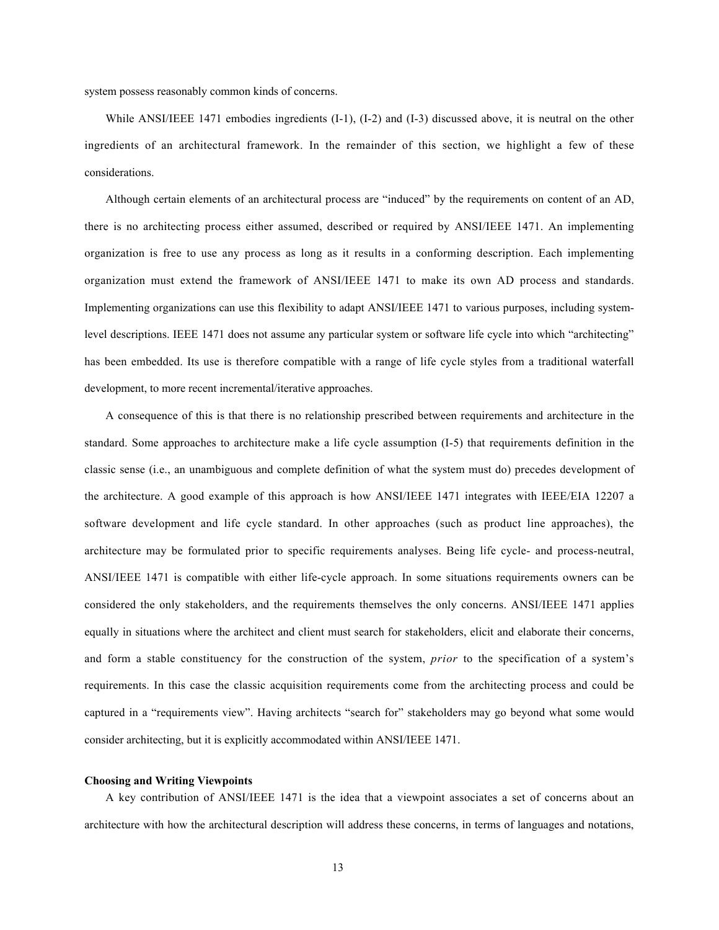system possess reasonably common kinds of concerns.

While ANSI/IEEE 1471 embodies ingredients (I-1), (I-2) and (I-3) discussed above, it is neutral on the other ingredients of an architectural framework. In the remainder of this section, we highlight a few of these considerations.

Although certain elements of an architectural process are "induced" by the requirements on content of an AD, there is no architecting process either assumed, described or required by ANSI/IEEE 1471. An implementing organization is free to use any process as long as it results in a conforming description. Each implementing organization must extend the framework of ANSI/IEEE 1471 to make its own AD process and standards. Implementing organizations can use this flexibility to adapt ANSI/IEEE 1471 to various purposes, including systemlevel descriptions. IEEE 1471 does not assume any particular system or software life cycle into which "architecting" has been embedded. Its use is therefore compatible with a range of life cycle styles from a traditional waterfall development, to more recent incremental/iterative approaches.

A consequence of this is that there is no relationship prescribed between requirements and architecture in the standard. Some approaches to architecture make a life cycle assumption (I-5) that requirements definition in the classic sense (i.e., an unambiguous and complete definition of what the system must do) precedes development of the architecture. A good example of this approach is how ANSI/IEEE 1471 integrates with IEEE/EIA 12207 a software development and life cycle standard. In other approaches (such as product line approaches), the architecture may be formulated prior to specific requirements analyses. Being life cycle- and process-neutral, ANSI/IEEE 1471 is compatible with either life-cycle approach. In some situations requirements owners can be considered the only stakeholders, and the requirements themselves the only concerns. ANSI/IEEE 1471 applies equally in situations where the architect and client must search for stakeholders, elicit and elaborate their concerns, and form a stable constituency for the construction of the system, *prior* to the specification of a system's requirements. In this case the classic acquisition requirements come from the architecting process and could be captured in a "requirements view". Having architects "search for" stakeholders may go beyond what some would consider architecting, but it is explicitly accommodated within ANSI/IEEE 1471.

## **Choosing and Writing Viewpoints**

A key contribution of ANSI/IEEE 1471 is the idea that a viewpoint associates a set of concerns about an architecture with how the architectural description will address these concerns, in terms of languages and notations,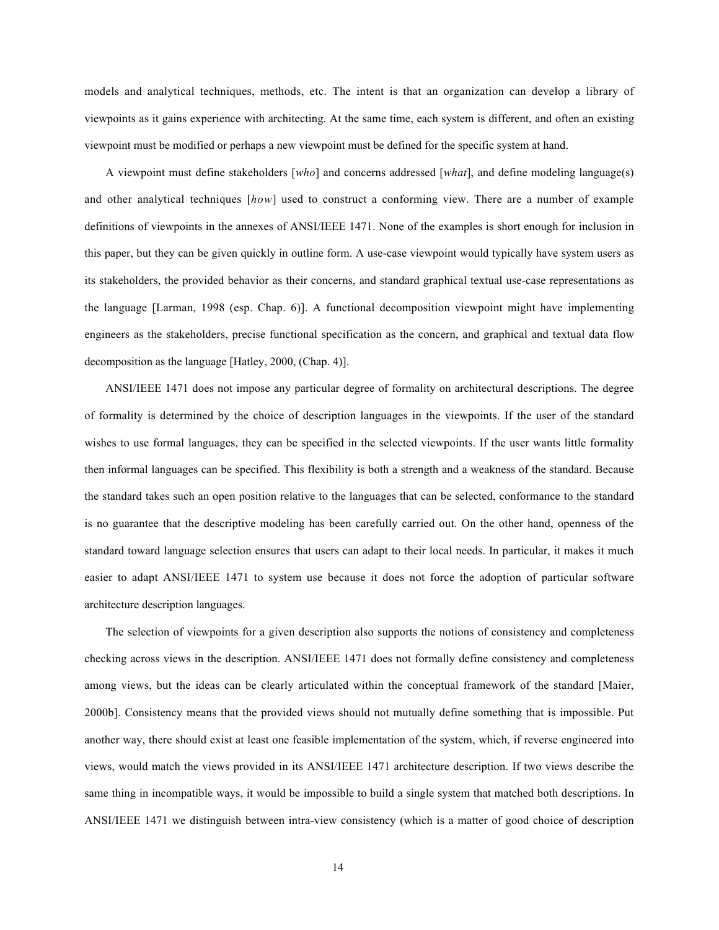models and analytical techniques, methods, etc. The intent is that an organization can develop a library of viewpoints as it gains experience with architecting. At the same time, each system is different, and often an existing viewpoint must be modified or perhaps a new viewpoint must be defined for the specific system at hand.

A viewpoint must define stakeholders [*who*] and concerns addressed [*what*], and define modeling language(s) and other analytical techniques [*how*] used to construct a conforming view. There are a number of example definitions of viewpoints in the annexes of ANSI/IEEE 1471. None of the examples is short enough for inclusion in this paper, but they can be given quickly in outline form. A use-case viewpoint would typically have system users as its stakeholders, the provided behavior as their concerns, and standard graphical textual use-case representations as the language [Larman, 1998 (esp. Chap. 6)]. A functional decomposition viewpoint might have implementing engineers as the stakeholders, precise functional specification as the concern, and graphical and textual data flow decomposition as the language [Hatley, 2000, (Chap. 4)].

ANSI/IEEE 1471 does not impose any particular degree of formality on architectural descriptions. The degree of formality is determined by the choice of description languages in the viewpoints. If the user of the standard wishes to use formal languages, they can be specified in the selected viewpoints. If the user wants little formality then informal languages can be specified. This flexibility is both a strength and a weakness of the standard. Because the standard takes such an open position relative to the languages that can be selected, conformance to the standard is no guarantee that the descriptive modeling has been carefully carried out. On the other hand, openness of the standard toward language selection ensures that users can adapt to their local needs. In particular, it makes it much easier to adapt ANSI/IEEE 1471 to system use because it does not force the adoption of particular software architecture description languages.

The selection of viewpoints for a given description also supports the notions of consistency and completeness checking across views in the description. ANSI/IEEE 1471 does not formally define consistency and completeness among views, but the ideas can be clearly articulated within the conceptual framework of the standard [Maier, 2000b]. Consistency means that the provided views should not mutually define something that is impossible. Put another way, there should exist at least one feasible implementation of the system, which, if reverse engineered into views, would match the views provided in its ANSI/IEEE 1471 architecture description. If two views describe the same thing in incompatible ways, it would be impossible to build a single system that matched both descriptions. In ANSI/IEEE 1471 we distinguish between intra-view consistency (which is a matter of good choice of description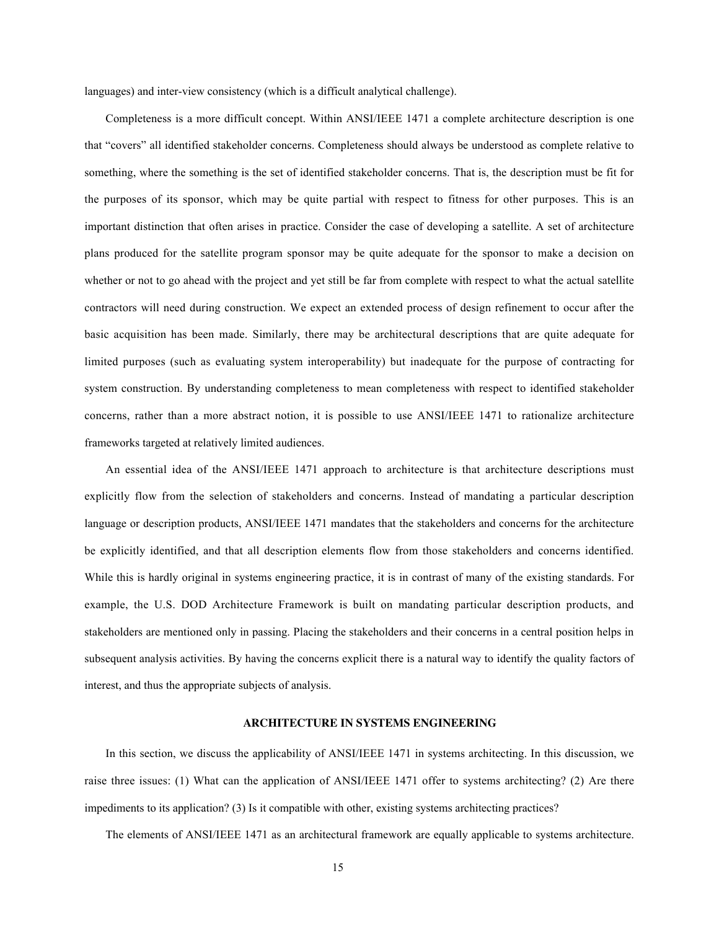languages) and inter-view consistency (which is a difficult analytical challenge).

Completeness is a more difficult concept. Within ANSI/IEEE 1471 a complete architecture description is one that "covers" all identified stakeholder concerns. Completeness should always be understood as complete relative to something, where the something is the set of identified stakeholder concerns. That is, the description must be fit for the purposes of its sponsor, which may be quite partial with respect to fitness for other purposes. This is an important distinction that often arises in practice. Consider the case of developing a satellite. A set of architecture plans produced for the satellite program sponsor may be quite adequate for the sponsor to make a decision on whether or not to go ahead with the project and yet still be far from complete with respect to what the actual satellite contractors will need during construction. We expect an extended process of design refinement to occur after the basic acquisition has been made. Similarly, there may be architectural descriptions that are quite adequate for limited purposes (such as evaluating system interoperability) but inadequate for the purpose of contracting for system construction. By understanding completeness to mean completeness with respect to identified stakeholder concerns, rather than a more abstract notion, it is possible to use ANSI/IEEE 1471 to rationalize architecture frameworks targeted at relatively limited audiences.

An essential idea of the ANSI/IEEE 1471 approach to architecture is that architecture descriptions must explicitly flow from the selection of stakeholders and concerns. Instead of mandating a particular description language or description products, ANSI/IEEE 1471 mandates that the stakeholders and concerns for the architecture be explicitly identified, and that all description elements flow from those stakeholders and concerns identified. While this is hardly original in systems engineering practice, it is in contrast of many of the existing standards. For example, the U.S. DOD Architecture Framework is built on mandating particular description products, and stakeholders are mentioned only in passing. Placing the stakeholders and their concerns in a central position helps in subsequent analysis activities. By having the concerns explicit there is a natural way to identify the quality factors of interest, and thus the appropriate subjects of analysis.

#### **ARCHITECTURE IN SYSTEMS ENGINEERING**

In this section, we discuss the applicability of ANSI/IEEE 1471 in systems architecting. In this discussion, we raise three issues: (1) What can the application of ANSI/IEEE 1471 offer to systems architecting? (2) Are there impediments to its application? (3) Is it compatible with other, existing systems architecting practices?

The elements of ANSI/IEEE 1471 as an architectural framework are equally applicable to systems architecture.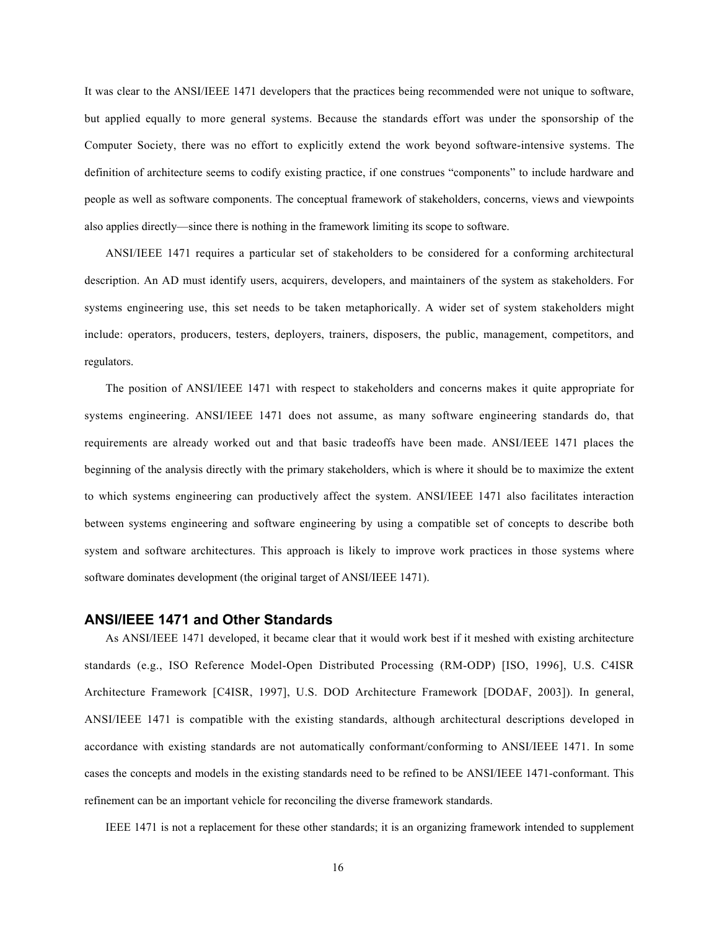It was clear to the ANSI/IEEE 1471 developers that the practices being recommended were not unique to software, but applied equally to more general systems. Because the standards effort was under the sponsorship of the Computer Society, there was no effort to explicitly extend the work beyond software-intensive systems. The definition of architecture seems to codify existing practice, if one construes "components" to include hardware and people as well as software components. The conceptual framework of stakeholders, concerns, views and viewpoints also applies directly—since there is nothing in the framework limiting its scope to software.

ANSI/IEEE 1471 requires a particular set of stakeholders to be considered for a conforming architectural description. An AD must identify users, acquirers, developers, and maintainers of the system as stakeholders. For systems engineering use, this set needs to be taken metaphorically. A wider set of system stakeholders might include: operators, producers, testers, deployers, trainers, disposers, the public, management, competitors, and regulators.

The position of ANSI/IEEE 1471 with respect to stakeholders and concerns makes it quite appropriate for systems engineering. ANSI/IEEE 1471 does not assume, as many software engineering standards do, that requirements are already worked out and that basic tradeoffs have been made. ANSI/IEEE 1471 places the beginning of the analysis directly with the primary stakeholders, which is where it should be to maximize the extent to which systems engineering can productively affect the system. ANSI/IEEE 1471 also facilitates interaction between systems engineering and software engineering by using a compatible set of concepts to describe both system and software architectures. This approach is likely to improve work practices in those systems where software dominates development (the original target of ANSI/IEEE 1471).

## **ANSI/IEEE 1471 and Other Standards**

As ANSI/IEEE 1471 developed, it became clear that it would work best if it meshed with existing architecture standards (e.g., ISO Reference Model-Open Distributed Processing (RM-ODP) [ISO, 1996], U.S. C4ISR Architecture Framework [C4ISR, 1997], U.S. DOD Architecture Framework [DODAF, 2003]). In general, ANSI/IEEE 1471 is compatible with the existing standards, although architectural descriptions developed in accordance with existing standards are not automatically conformant/conforming to ANSI/IEEE 1471. In some cases the concepts and models in the existing standards need to be refined to be ANSI/IEEE 1471-conformant. This refinement can be an important vehicle for reconciling the diverse framework standards.

IEEE 1471 is not a replacement for these other standards; it is an organizing framework intended to supplement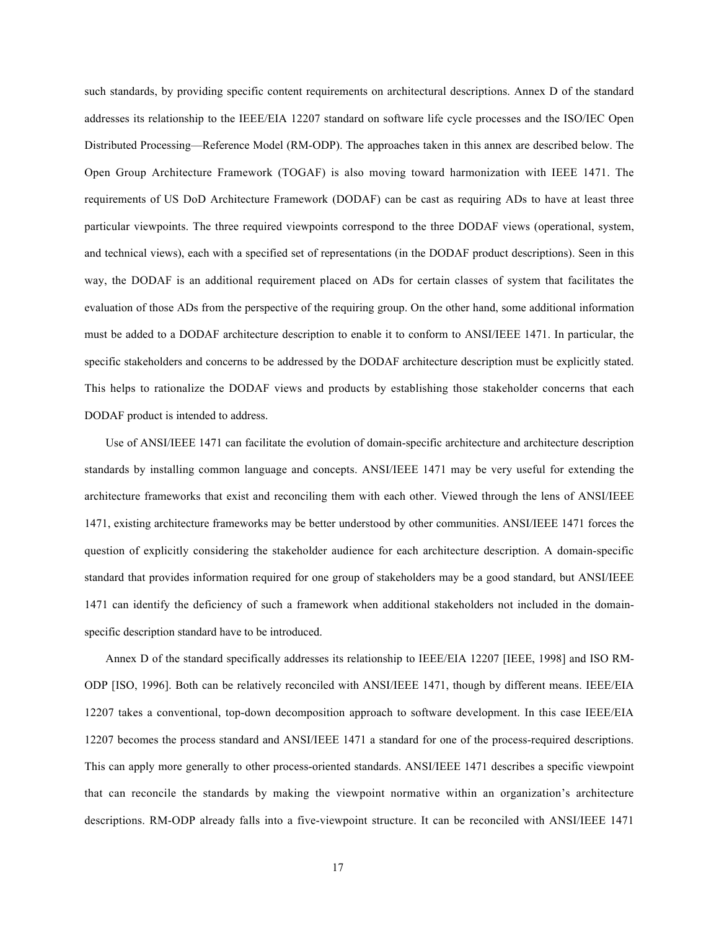such standards, by providing specific content requirements on architectural descriptions. Annex D of the standard addresses its relationship to the IEEE/EIA 12207 standard on software life cycle processes and the ISO/IEC Open Distributed Processing—Reference Model (RM-ODP). The approaches taken in this annex are described below. The Open Group Architecture Framework (TOGAF) is also moving toward harmonization with IEEE 1471. The requirements of US DoD Architecture Framework (DODAF) can be cast as requiring ADs to have at least three particular viewpoints. The three required viewpoints correspond to the three DODAF views (operational, system, and technical views), each with a specified set of representations (in the DODAF product descriptions). Seen in this way, the DODAF is an additional requirement placed on ADs for certain classes of system that facilitates the evaluation of those ADs from the perspective of the requiring group. On the other hand, some additional information must be added to a DODAF architecture description to enable it to conform to ANSI/IEEE 1471. In particular, the specific stakeholders and concerns to be addressed by the DODAF architecture description must be explicitly stated. This helps to rationalize the DODAF views and products by establishing those stakeholder concerns that each DODAF product is intended to address.

Use of ANSI/IEEE 1471 can facilitate the evolution of domain-specific architecture and architecture description standards by installing common language and concepts. ANSI/IEEE 1471 may be very useful for extending the architecture frameworks that exist and reconciling them with each other. Viewed through the lens of ANSI/IEEE 1471, existing architecture frameworks may be better understood by other communities. ANSI/IEEE 1471 forces the question of explicitly considering the stakeholder audience for each architecture description. A domain-specific standard that provides information required for one group of stakeholders may be a good standard, but ANSI/IEEE 1471 can identify the deficiency of such a framework when additional stakeholders not included in the domainspecific description standard have to be introduced.

Annex D of the standard specifically addresses its relationship to IEEE/EIA 12207 [IEEE, 1998] and ISO RM-ODP [ISO, 1996]. Both can be relatively reconciled with ANSI/IEEE 1471, though by different means. IEEE/EIA 12207 takes a conventional, top-down decomposition approach to software development. In this case IEEE/EIA 12207 becomes the process standard and ANSI/IEEE 1471 a standard for one of the process-required descriptions. This can apply more generally to other process-oriented standards. ANSI/IEEE 1471 describes a specific viewpoint that can reconcile the standards by making the viewpoint normative within an organization's architecture descriptions. RM-ODP already falls into a five-viewpoint structure. It can be reconciled with ANSI/IEEE 1471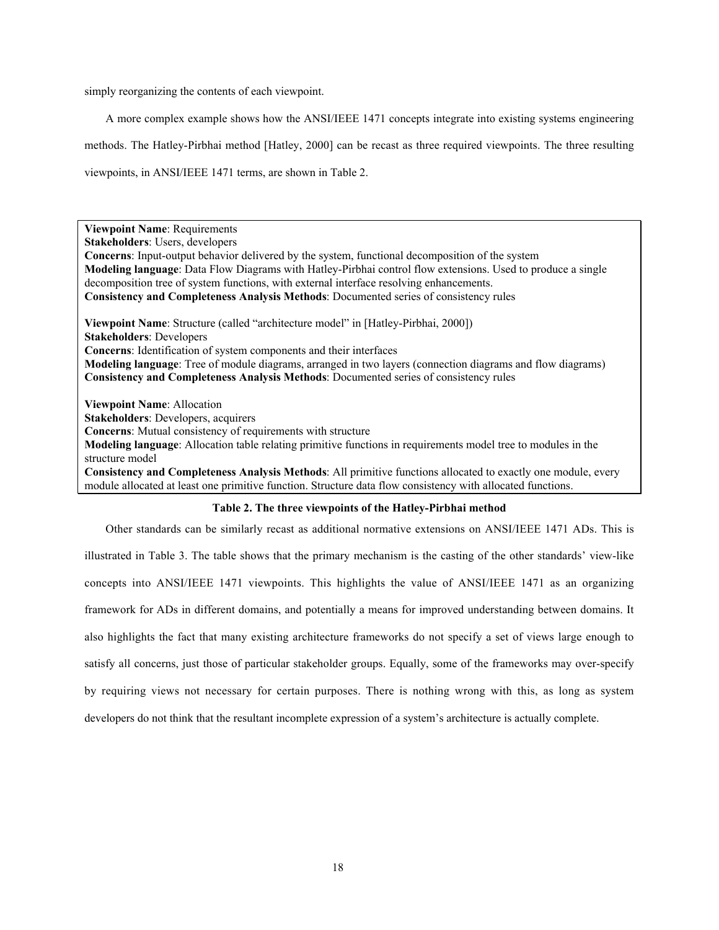simply reorganizing the contents of each viewpoint.

A more complex example shows how the ANSI/IEEE 1471 concepts integrate into existing systems engineering methods. The Hatley-Pirbhai method [Hatley, 2000] can be recast as three required viewpoints. The three resulting viewpoints, in ANSI/IEEE 1471 terms, are shown in Table 2.

**Viewpoint Name**: Requirements **Stakeholders**: Users, developers **Concerns**: Input-output behavior delivered by the system, functional decomposition of the system **Modeling language**: Data Flow Diagrams with Hatley-Pirbhai control flow extensions. Used to produce a single decomposition tree of system functions, with external interface resolving enhancements. **Consistency and Completeness Analysis Methods**: Documented series of consistency rules **Viewpoint Name**: Structure (called "architecture model" in [Hatley-Pirbhai, 2000]) **Stakeholders**: Developers **Concerns**: Identification of system components and their interfaces **Modeling language**: Tree of module diagrams, arranged in two layers (connection diagrams and flow diagrams) **Consistency and Completeness Analysis Methods**: Documented series of consistency rules **Viewpoint Name**: Allocation **Stakeholders**: Developers, acquirers **Concerns**: Mutual consistency of requirements with structure **Modeling language**: Allocation table relating primitive functions in requirements model tree to modules in the structure model **Consistency and Completeness Analysis Methods**: All primitive functions allocated to exactly one module, every module allocated at least one primitive function. Structure data flow consistency with allocated functions.

## **Table 2. The three viewpoints of the Hatley-Pirbhai method**

Other standards can be similarly recast as additional normative extensions on ANSI/IEEE 1471 ADs. This is illustrated in Table 3. The table shows that the primary mechanism is the casting of the other standards' view-like concepts into ANSI/IEEE 1471 viewpoints. This highlights the value of ANSI/IEEE 1471 as an organizing framework for ADs in different domains, and potentially a means for improved understanding between domains. It also highlights the fact that many existing architecture frameworks do not specify a set of views large enough to satisfy all concerns, just those of particular stakeholder groups. Equally, some of the frameworks may over-specify by requiring views not necessary for certain purposes. There is nothing wrong with this, as long as system developers do not think that the resultant incomplete expression of a system's architecture is actually complete.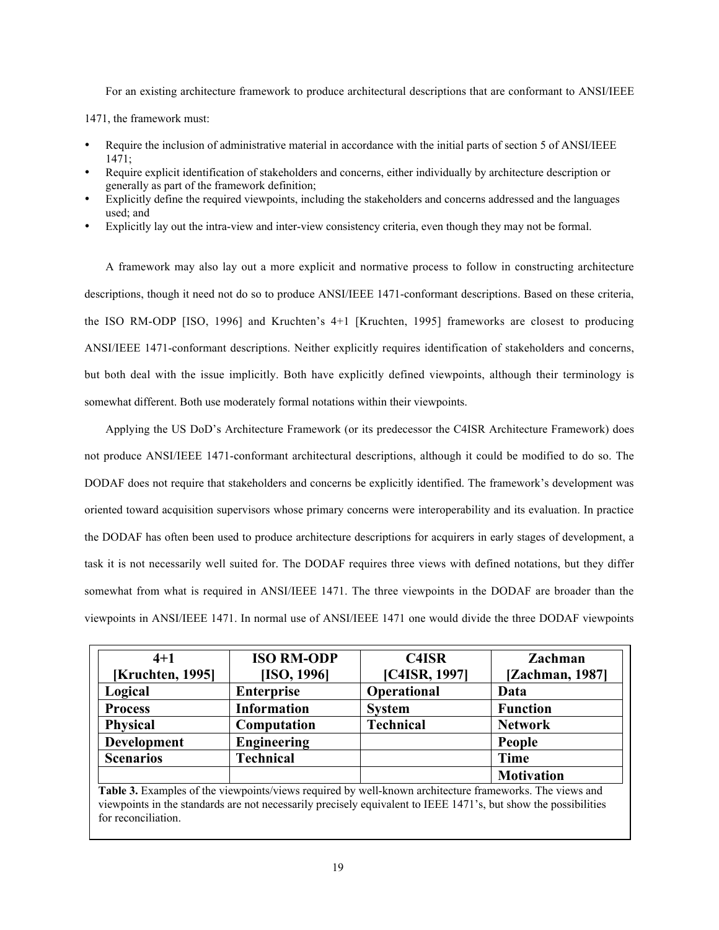For an existing architecture framework to produce architectural descriptions that are conformant to ANSI/IEEE

1471, the framework must:

Require the inclusion of administrative material in accordance with the initial parts of section 5 of ANSI/IEEE 1471; Require explicit identification of stakeholders and concerns, either individually by architecture description or generally as part of the framework definition; Explicitly define the required viewpoints, including the stakeholders and concerns addressed and the languages used; and

Explicitly lay out the intra-view and inter-view consistency criteria, even though they may not be formal.

A framework may also lay out a more explicit and normative process to follow in constructing architecture descriptions, though it need not do so to produce ANSI/IEEE 1471-conformant descriptions. Based on these criteria, the ISO RM-ODP [ISO, 1996] and Kruchten's 4+1 [Kruchten, 1995] frameworks are closest to producing ANSI/IEEE 1471-conformant descriptions. Neither explicitly requires identification of stakeholders and concerns, but both deal with the issue implicitly. Both have explicitly defined viewpoints, although their terminology is somewhat different. Both use moderately formal notations within their viewpoints.

Applying the US DoD's Architecture Framework (or its predecessor the C4ISR Architecture Framework) does not produce ANSI/IEEE 1471-conformant architectural descriptions, although it could be modified to do so. The DODAF does not require that stakeholders and concerns be explicitly identified. The framework's development was oriented toward acquisition supervisors whose primary concerns were interoperability and its evaluation. In practice the DODAF has often been used to produce architecture descriptions for acquirers in early stages of development, a task it is not necessarily well suited for. The DODAF requires three views with defined notations, but they differ somewhat from what is required in ANSI/IEEE 1471. The three viewpoints in the DODAF are broader than the viewpoints in ANSI/IEEE 1471. In normal use of ANSI/IEEE 1471 one would divide the three DODAF viewpoints

| $4 + 1$            | <b>ISO RM-ODP</b>  | <b>C4ISR</b>       | Zachman           |
|--------------------|--------------------|--------------------|-------------------|
| [Kruchten, 1995]   | [ISO, 1996]        | [C4ISR, 1997]      | [Zachman, 1987]   |
| Logical            | <b>Enterprise</b>  | <b>Operational</b> | Data              |
| <b>Process</b>     | <b>Information</b> | <b>System</b>      | <b>Function</b>   |
| <b>Physical</b>    | Computation        | <b>Technical</b>   | <b>Network</b>    |
| <b>Development</b> | <b>Engineering</b> |                    | People            |
| <b>Scenarios</b>   | <b>Technical</b>   |                    | <b>Time</b>       |
|                    |                    |                    | <b>Motivation</b> |

**Table 3.** Examples of the viewpoints/views required by well-known architecture frameworks. The views and viewpoints in the standards are not necessarily precisely equivalent to IEEE 1471's, but show the possibilities for reconciliation.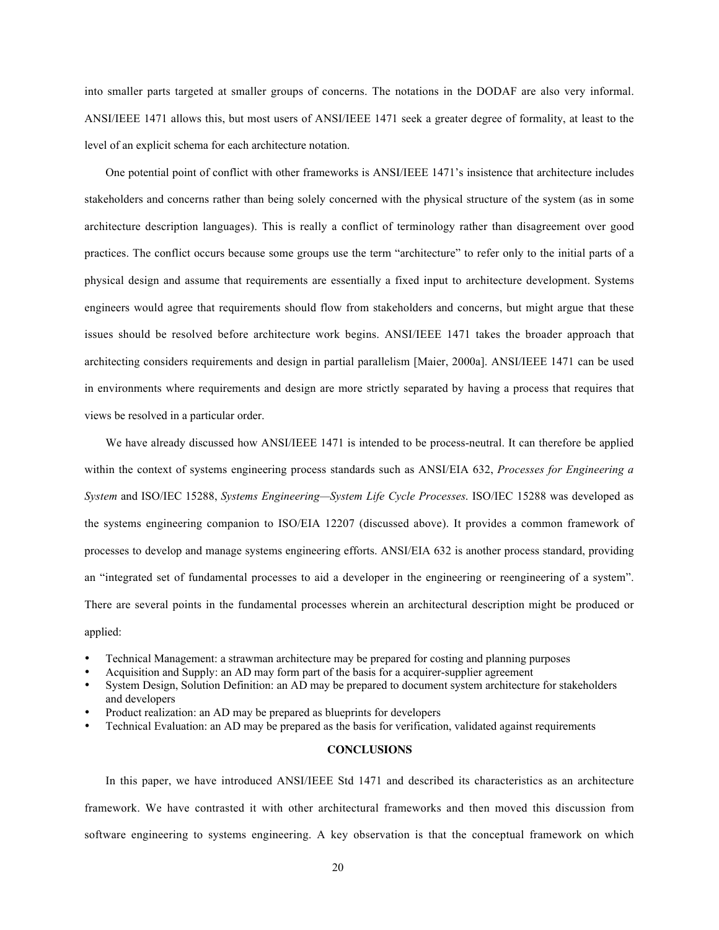into smaller parts targeted at smaller groups of concerns. The notations in the DODAF are also very informal. ANSI/IEEE 1471 allows this, but most users of ANSI/IEEE 1471 seek a greater degree of formality, at least to the level of an explicit schema for each architecture notation.

One potential point of conflict with other frameworks is ANSI/IEEE 1471's insistence that architecture includes stakeholders and concerns rather than being solely concerned with the physical structure of the system (as in some architecture description languages). This is really a conflict of terminology rather than disagreement over good practices. The conflict occurs because some groups use the term "architecture" to refer only to the initial parts of a physical design and assume that requirements are essentially a fixed input to architecture development. Systems engineers would agree that requirements should flow from stakeholders and concerns, but might argue that these issues should be resolved before architecture work begins. ANSI/IEEE 1471 takes the broader approach that architecting considers requirements and design in partial parallelism [Maier, 2000a]. ANSI/IEEE 1471 can be used in environments where requirements and design are more strictly separated by having a process that requires that views be resolved in a particular order.

We have already discussed how ANSI/IEEE 1471 is intended to be process-neutral. It can therefore be applied within the context of systems engineering process standards such as ANSI/EIA 632, *Processes for Engineering a System* and ISO/IEC 15288, *Systems Engineering—System Life Cycle Processes*. ISO/IEC 15288 was developed as the systems engineering companion to ISO/EIA 12207 (discussed above). It provides a common framework of processes to develop and manage systems engineering efforts. ANSI/EIA 632 is another process standard, providing an "integrated set of fundamental processes to aid a developer in the engineering or reengineering of a system". There are several points in the fundamental processes wherein an architectural description might be produced or applied:

Technical Management: a strawman architecture may be prepared for costing and planning purposes Acquisition and Supply: an AD may form part of the basis for a acquirer-supplier agreement System Design, Solution Definition: an AD may be prepared to document system architecture for stakeholders and developers Product realization: an AD may be prepared as blueprints for developers Technical Evaluation: an AD may be prepared as the basis for verification, validated against requirements

#### **CONCLUSIONS**

In this paper, we have introduced ANSI/IEEE Std 1471 and described its characteristics as an architecture framework. We have contrasted it with other architectural frameworks and then moved this discussion from software engineering to systems engineering. A key observation is that the conceptual framework on which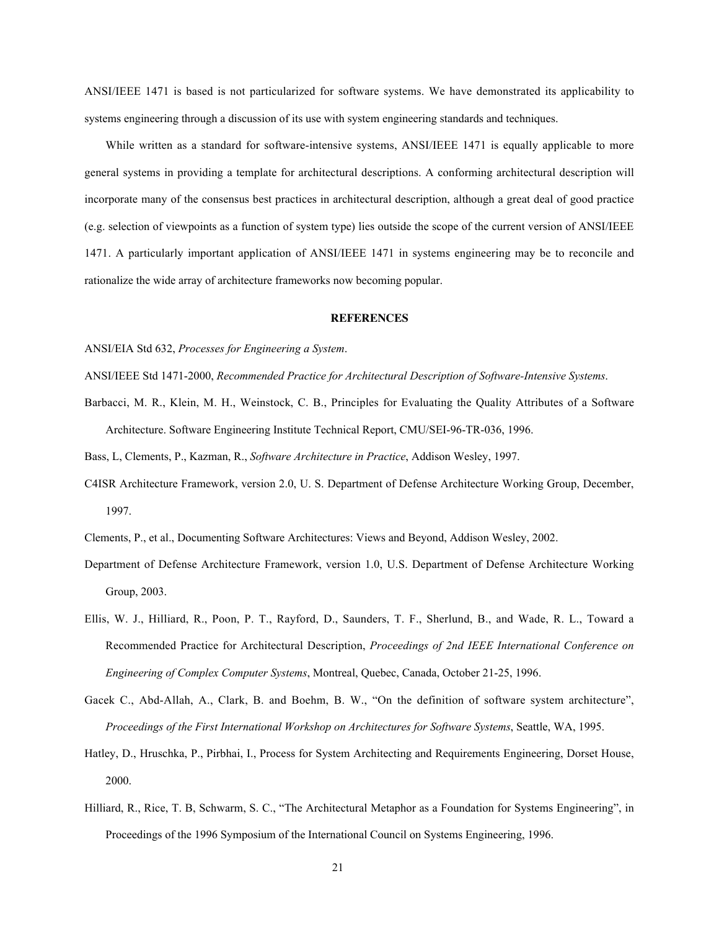ANSI/IEEE 1471 is based is not particularized for software systems. We have demonstrated its applicability to systems engineering through a discussion of its use with system engineering standards and techniques.

While written as a standard for software-intensive systems, ANSI/IEEE 1471 is equally applicable to more general systems in providing a template for architectural descriptions. A conforming architectural description will incorporate many of the consensus best practices in architectural description, although a great deal of good practice (e.g. selection of viewpoints as a function of system type) lies outside the scope of the current version of ANSI/IEEE 1471. A particularly important application of ANSI/IEEE 1471 in systems engineering may be to reconcile and rationalize the wide array of architecture frameworks now becoming popular.

## **REFERENCES**

#### ANSI/EIA Std 632, *Processes for Engineering a System*.

- ANSI/IEEE Std 1471-2000, *Recommended Practice for Architectural Description of Software-Intensive Systems*.
- Barbacci, M. R., Klein, M. H., Weinstock, C. B., Principles for Evaluating the Quality Attributes of a Software Architecture. Software Engineering Institute Technical Report, CMU/SEI-96-TR-036, 1996.
- Bass, L, Clements, P., Kazman, R., *Software Architecture in Practice*, Addison Wesley, 1997.
- C4ISR Architecture Framework, version 2.0, U. S. Department of Defense Architecture Working Group, December, 1997.
- Clements, P., et al., Documenting Software Architectures: Views and Beyond, Addison Wesley, 2002.
- Department of Defense Architecture Framework, version 1.0, U.S. Department of Defense Architecture Working Group, 2003.
- Ellis, W. J., Hilliard, R., Poon, P. T., Rayford, D., Saunders, T. F., Sherlund, B., and Wade, R. L., Toward a Recommended Practice for Architectural Description, *Proceedings of 2nd IEEE International Conference on Engineering of Complex Computer Systems*, Montreal, Quebec, Canada, October 21-25, 1996.
- Gacek C., Abd-Allah, A., Clark, B. and Boehm, B. W., "On the definition of software system architecture", *Proceedings of the First International Workshop on Architectures for Software Systems*, Seattle, WA, 1995.
- Hatley, D., Hruschka, P., Pirbhai, I., Process for System Architecting and Requirements Engineering, Dorset House, 2000.
- Hilliard, R., Rice, T. B, Schwarm, S. C., "The Architectural Metaphor as a Foundation for Systems Engineering", in Proceedings of the 1996 Symposium of the International Council on Systems Engineering, 1996.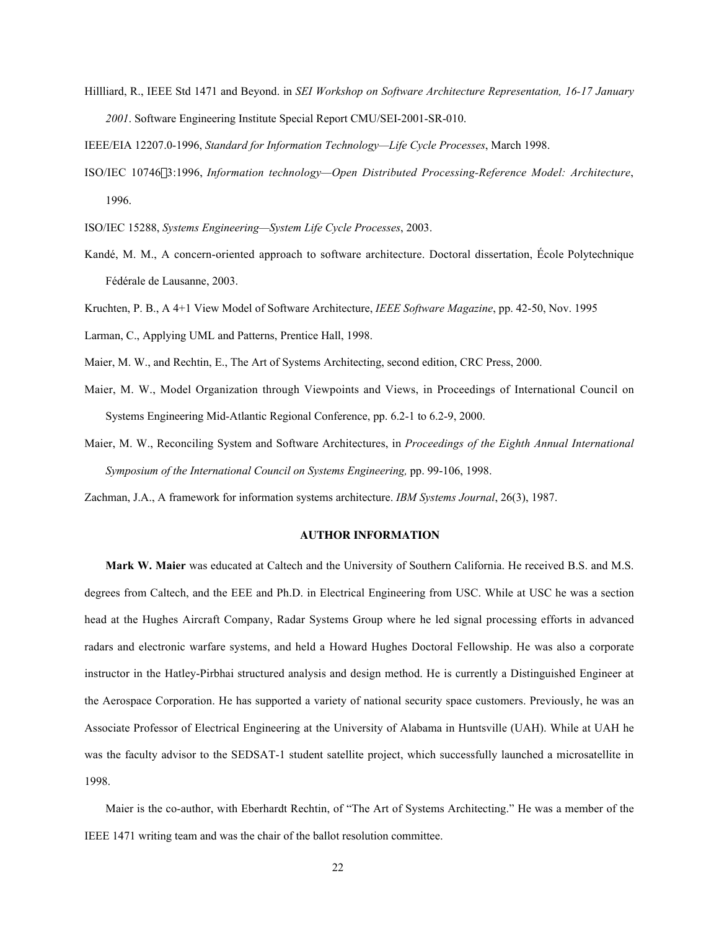Hillliard, R., IEEE Std 1471 and Beyond. in *SEI Workshop on Software Architecture Representation, 16-17 January 2001*. Software Engineering Institute Special Report CMU/SEI-2001-SR-010.

IEEE/EIA 12207.0-1996, *Standard for Information Technology—Life Cycle Processes*, March 1998.

- ISO/IEC 10746-3:1996, *Information technology—Open Distributed Processing-Reference Model: Architecture*, 1996.
- ISO/IEC 15288, *Systems Engineering—System Life Cycle Processes*, 2003.
- Kandé, M. M., A concern-oriented approach to software architecture. Doctoral dissertation, École Polytechnique Fédérale de Lausanne, 2003.
- Kruchten, P. B., A 4+1 View Model of Software Architecture, *IEEE Software Magazine*, pp. 42-50, Nov. 1995
- Larman, C., Applying UML and Patterns, Prentice Hall, 1998.
- Maier, M. W., and Rechtin, E., The Art of Systems Architecting, second edition, CRC Press, 2000.
- Maier, M. W., Model Organization through Viewpoints and Views, in Proceedings of International Council on Systems Engineering Mid-Atlantic Regional Conference, pp. 6.2-1 to 6.2-9, 2000.
- Maier, M. W., Reconciling System and Software Architectures, in *Proceedings of the Eighth Annual International Symposium of the International Council on Systems Engineering,* pp. 99-106, 1998.

Zachman, J.A., A framework for information systems architecture. *IBM Systems Journal*, 26(3), 1987.

## **AUTHOR INFORMATION**

**Mark W. Maier** was educated at Caltech and the University of Southern California. He received B.S. and M.S. degrees from Caltech, and the EEE and Ph.D. in Electrical Engineering from USC. While at USC he was a section head at the Hughes Aircraft Company, Radar Systems Group where he led signal processing efforts in advanced radars and electronic warfare systems, and held a Howard Hughes Doctoral Fellowship. He was also a corporate instructor in the Hatley-Pirbhai structured analysis and design method. He is currently a Distinguished Engineer at the Aerospace Corporation. He has supported a variety of national security space customers. Previously, he was an Associate Professor of Electrical Engineering at the University of Alabama in Huntsville (UAH). While at UAH he was the faculty advisor to the SEDSAT-1 student satellite project, which successfully launched a microsatellite in 1998.

Maier is the co-author, with Eberhardt Rechtin, of "The Art of Systems Architecting." He was a member of the IEEE 1471 writing team and was the chair of the ballot resolution committee.